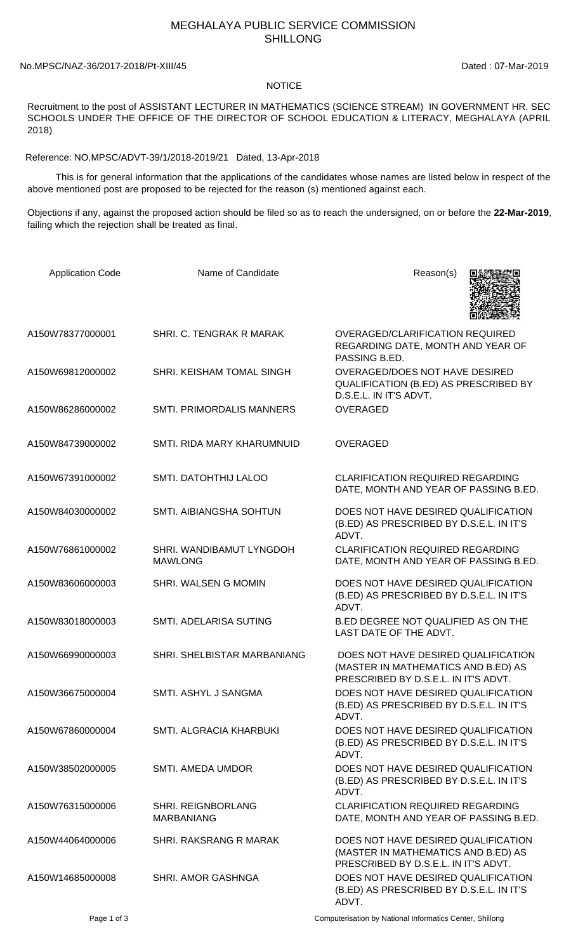## MEGHALAYA PUBLIC SERVICE COMMISSION SHILLONG

## No.MPSC/NAZ-36/2017-2018/Pt-XIII/45 Dated : 07-Mar-2019

## **NOTICE**

Recruitment to the post of ASSISTANT LECTURER IN MATHEMATICS (SCIENCE STREAM) IN GOVERNMENT HR. SEC SCHOOLS UNDER THE OFFICE OF THE DIRECTOR OF SCHOOL EDUCATION & LITERACY, MEGHALAYA (APRIL 2018)

Reference: NO.MPSC/ADVT-39/1/2018-2019/21 Dated, 13-Apr-2018

 This is for general information that the applications of the candidates whose names are listed below in respect of the above mentioned post are proposed to be rejected for the reason (s) mentioned against each.

Objections if any, against the proposed action should be filed so as to reach the undersigned, on or before the **22-Mar-2019**, failing which the rejection shall be treated as final.

| <b>Application Code</b> | Name of Candidate                          | Reason(s)                                                                                                          |
|-------------------------|--------------------------------------------|--------------------------------------------------------------------------------------------------------------------|
| A150W78377000001        | SHRI, C. TENGRAK R MARAK                   | OVERAGED/CLARIFICATION REQUIRED<br>REGARDING DATE, MONTH AND YEAR OF<br>PASSING B.ED.                              |
| A150W69812000002        | SHRI. KEISHAM TOMAL SINGH                  | OVERAGED/DOES NOT HAVE DESIRED<br>QUALIFICATION (B.ED) AS PRESCRIBED BY<br>D.S.E.L. IN IT'S ADVT.                  |
| A150W86286000002        | <b>SMTI. PRIMORDALIS MANNERS</b>           | <b>OVERAGED</b>                                                                                                    |
| A150W84739000002        | SMTI. RIDA MARY KHARUMNUID                 | <b>OVERAGED</b>                                                                                                    |
| A150W67391000002        | SMTI. DATOHTHIJ LALOO                      | <b>CLARIFICATION REQUIRED REGARDING</b><br>DATE, MONTH AND YEAR OF PASSING B.ED.                                   |
| A150W84030000002        | SMTI. AIBIANGSHA SOHTUN                    | DOES NOT HAVE DESIRED QUALIFICATION<br>(B.ED) AS PRESCRIBED BY D.S.E.L. IN IT'S<br>ADVT.                           |
| A150W76861000002        | SHRI. WANDIBAMUT LYNGDOH<br><b>MAWLONG</b> | <b>CLARIFICATION REQUIRED REGARDING</b><br>DATE, MONTH AND YEAR OF PASSING B.ED.                                   |
| A150W83606000003        | SHRI. WALSEN G MOMIN                       | DOES NOT HAVE DESIRED QUALIFICATION<br>(B.ED) AS PRESCRIBED BY D.S.E.L. IN IT'S<br>ADVT.                           |
| A150W83018000003        | SMTI. ADELARISA SUTING                     | B.ED DEGREE NOT QUALIFIED AS ON THE<br>LAST DATE OF THE ADVT.                                                      |
| A150W66990000003        | SHRI. SHELBISTAR MARBANIANG                | DOES NOT HAVE DESIRED QUALIFICATION<br>(MASTER IN MATHEMATICS AND B.ED) AS<br>PRESCRIBED BY D.S.E.L. IN IT'S ADVT. |
| A150W36675000004        | SMTI. ASHYL J SANGMA                       | DOES NOT HAVE DESIRED QUALIFICATION<br>(B.ED) AS PRESCRIBED BY D.S.E.L. IN IT'S<br>ADVT.                           |
| A150W67860000004        | SMTI. ALGRACIA KHARBUKI                    | DOES NOT HAVE DESIRED QUALIFICATION<br>(B.ED) AS PRESCRIBED BY D.S.E.L. IN IT'S<br>ADVT.                           |
| A150W38502000005        | <b>SMTI. AMEDA UMDOR</b>                   | DOES NOT HAVE DESIRED QUALIFICATION<br>(B.ED) AS PRESCRIBED BY D.S.E.L. IN IT'S<br>ADVT.                           |
| A150W76315000006        | SHRI. REIGNBORLANG<br><b>MARBANIANG</b>    | <b>CLARIFICATION REQUIRED REGARDING</b><br>DATE, MONTH AND YEAR OF PASSING B.ED.                                   |
| A150W44064000006        | SHRI. RAKSRANG R MARAK                     | DOES NOT HAVE DESIRED QUALIFICATION<br>(MASTER IN MATHEMATICS AND B.ED) AS<br>PRESCRIBED BY D.S.E.L. IN IT'S ADVT. |
| A150W14685000008        | SHRI. AMOR GASHNGA                         | DOES NOT HAVE DESIRED QUALIFICATION<br>(B.ED) AS PRESCRIBED BY D.S.E.L. IN IT'S<br>ADVT.                           |

Page 1 of 3 Computerisation by National Informatics Center, Shillong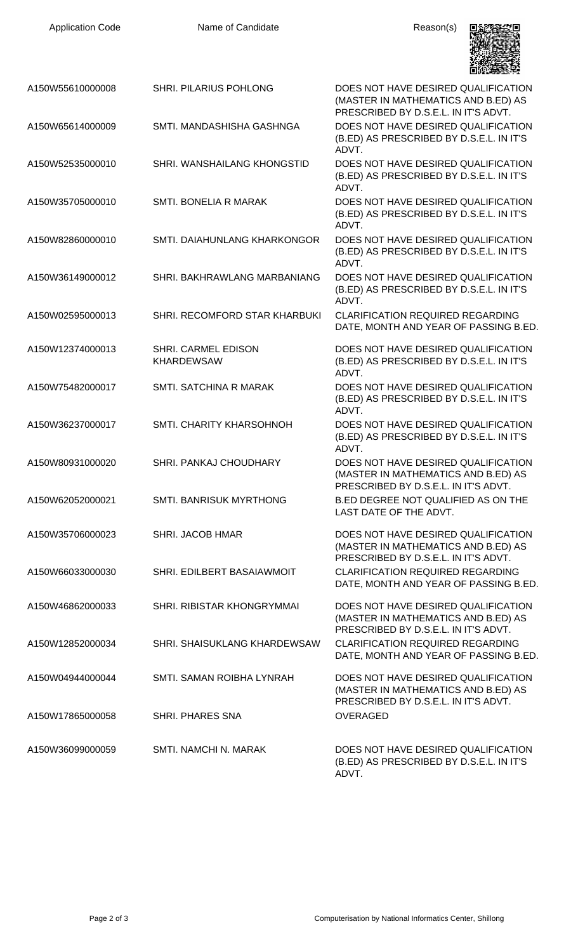| <b>Application Code</b> | Name of Candidate                               | Reason(s)                                                                                                          |
|-------------------------|-------------------------------------------------|--------------------------------------------------------------------------------------------------------------------|
| A150W55610000008        | SHRI. PILARIUS POHLONG                          | DOES NOT HAVE DESIRED QUALIFICATION<br>(MASTER IN MATHEMATICS AND B.ED) AS<br>PRESCRIBED BY D.S.E.L. IN IT'S ADVT. |
| A150W65614000009        | SMTI. MANDASHISHA GASHNGA                       | DOES NOT HAVE DESIRED QUALIFICATION<br>(B.ED) AS PRESCRIBED BY D.S.E.L. IN IT'S<br>ADVT.                           |
| A150W52535000010        | SHRI. WANSHAILANG KHONGSTID                     | DOES NOT HAVE DESIRED QUALIFICATION<br>(B.ED) AS PRESCRIBED BY D.S.E.L. IN IT'S<br>ADVT.                           |
| A150W35705000010        | <b>SMTI. BONELIA R MARAK</b>                    | DOES NOT HAVE DESIRED QUALIFICATION<br>(B.ED) AS PRESCRIBED BY D.S.E.L. IN IT'S<br>ADVT.                           |
| A150W82860000010        | SMTI. DAIAHUNLANG KHARKONGOR                    | DOES NOT HAVE DESIRED QUALIFICATION<br>(B.ED) AS PRESCRIBED BY D.S.E.L. IN IT'S<br>ADVT.                           |
| A150W36149000012        | SHRI. BAKHRAWLANG MARBANIANG                    | DOES NOT HAVE DESIRED QUALIFICATION<br>(B.ED) AS PRESCRIBED BY D.S.E.L. IN IT'S<br>ADVT.                           |
| A150W02595000013        | SHRI. RECOMFORD STAR KHARBUKI                   | <b>CLARIFICATION REQUIRED REGARDING</b><br>DATE, MONTH AND YEAR OF PASSING B.ED.                                   |
| A150W12374000013        | <b>SHRI. CARMEL EDISON</b><br><b>KHARDEWSAW</b> | DOES NOT HAVE DESIRED QUALIFICATION<br>(B.ED) AS PRESCRIBED BY D.S.E.L. IN IT'S<br>ADVT.                           |
| A150W75482000017        | <b>SMTI. SATCHINA R MARAK</b>                   | DOES NOT HAVE DESIRED QUALIFICATION<br>(B.ED) AS PRESCRIBED BY D.S.E.L. IN IT'S<br>ADVT.                           |
| A150W36237000017        | SMTI. CHARITY KHARSOHNOH                        | DOES NOT HAVE DESIRED QUALIFICATION<br>(B.ED) AS PRESCRIBED BY D.S.E.L. IN IT'S<br>ADVT.                           |
| A150W80931000020        | SHRI, PANKAJ CHOUDHARY                          | DOES NOT HAVE DESIRED QUALIFICATION<br>(MASTER IN MATHEMATICS AND B.ED) AS<br>PRESCRIBED BY D.S.E.L. IN IT'S ADVT. |
| A150W62052000021        | <b>SMTI. BANRISUK MYRTHONG</b>                  | B.ED DEGREE NOT QUALIFIED AS ON THE<br>LAST DATE OF THE ADVT.                                                      |
| A150W35706000023        | <b>SHRI. JACOB HMAR</b>                         | DOES NOT HAVE DESIRED QUALIFICATION<br>(MASTER IN MATHEMATICS AND B.ED) AS<br>PRESCRIBED BY D.S.E.L. IN IT'S ADVT. |
| A150W66033000030        | SHRI. EDILBERT BASAIAWMOIT                      | <b>CLARIFICATION REQUIRED REGARDING</b><br>DATE, MONTH AND YEAR OF PASSING B.ED.                                   |
| A150W46862000033        | SHRI. RIBISTAR KHONGRYMMAI                      | DOES NOT HAVE DESIRED QUALIFICATION<br>(MASTER IN MATHEMATICS AND B.ED) AS<br>PRESCRIBED BY D.S.E.L. IN IT'S ADVT. |
| A150W12852000034        | SHRI. SHAISUKLANG KHARDEWSAW                    | <b>CLARIFICATION REQUIRED REGARDING</b><br>DATE, MONTH AND YEAR OF PASSING B.ED.                                   |
| A150W04944000044        | SMTI. SAMAN ROIBHA LYNRAH                       | DOES NOT HAVE DESIRED QUALIFICATION<br>(MASTER IN MATHEMATICS AND B.ED) AS<br>PRESCRIBED BY D.S.E.L. IN IT'S ADVT. |
| A150W17865000058        | <b>SHRI. PHARES SNA</b>                         | <b>OVERAGED</b>                                                                                                    |
| A150W36099000059        | <b>SMTI, NAMCHI N. MARAK</b>                    | DOES NOT HAVE DESIRED QUALIFICATION<br>(B.ED) AS PRESCRIBED BY D.S.E.L. IN IT'S<br>ADVT.                           |